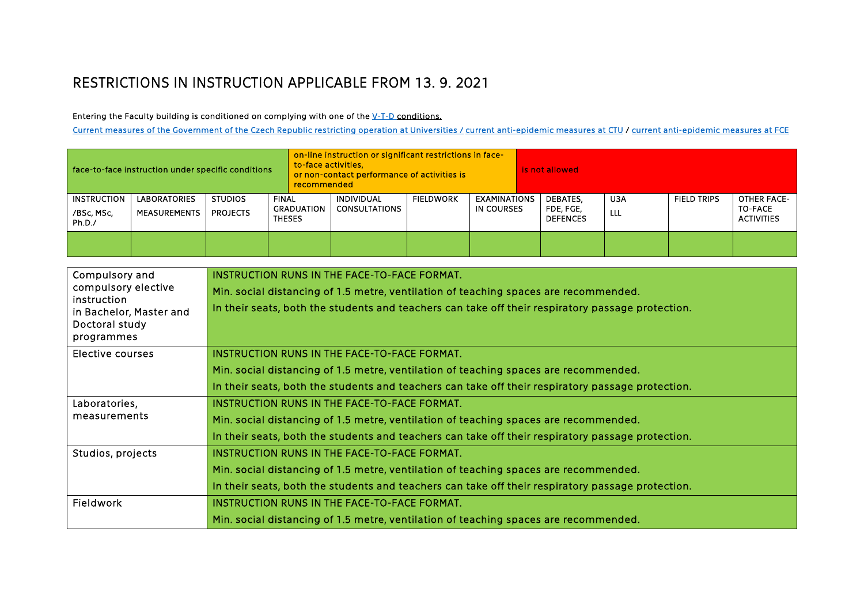## RESTRICTIONS IN INSTRUCTION APPLICABLE FROM 13. 9. 2021

Entering the Faculty building is conditioned on complying with one of the [V-T-D c](https://covid.gov.cz/situace/onemocneni-obecne-o-opatrenich/system-o-n-t-ockovani-prodelana-nemoc-test)onditions.

[Current measures of the Government of the Czech Republic restricting operation at Universities](https://covid.gov.cz/opatreni/skolstvi/omezeni-provozu-vysokych-skol) [/ current anti-epidemic measures at CTU](https://www.cvut.cz/informace-cvut-ke-koronaviru) / current anti-epidemic measures at FCE

| face-to-face instruction under specific conditions |                              |                                   |                        | on-line instruction or significant restrictions in face-<br>to-face activities.<br>or non-contact performance of activities is<br>recommended |                                           |                  |                                   | is not allowed |                                          |            |                    |                                                    |
|----------------------------------------------------|------------------------------|-----------------------------------|------------------------|-----------------------------------------------------------------------------------------------------------------------------------------------|-------------------------------------------|------------------|-----------------------------------|----------------|------------------------------------------|------------|--------------------|----------------------------------------------------|
| <b>INSTRUCTION</b><br>/BSc, MSc,<br>Ph.D./         | LABORATORIES<br>MEASUREMENTS | <b>STUDIOS</b><br><b>PROJECTS</b> | FINAL<br><b>THESES</b> | GRADUATION                                                                                                                                    | <b>INDIVIDUAL</b><br><b>CONSULTATIONS</b> | <b>FIELDWORK</b> | <b>EXAMINATIONS</b><br>IN COURSES |                | DEBATES,<br>FDE, FGE,<br><b>DEFENCES</b> | U3A<br>LLL | <b>FIELD TRIPS</b> | OTHER FACE-<br><b>TO-FACE</b><br><b>ACTIVITIES</b> |
|                                                    |                              |                                   |                        |                                                                                                                                               |                                           |                  |                                   |                |                                          |            |                    |                                                    |

| Compulsory and                     | INSTRUCTION RUNS IN THE FACE-TO-FACE FORMAT.                                                      |  |  |  |  |  |  |
|------------------------------------|---------------------------------------------------------------------------------------------------|--|--|--|--|--|--|
| compulsory elective<br>instruction | Min. social distancing of 1.5 metre, ventilation of teaching spaces are recommended.              |  |  |  |  |  |  |
| in Bachelor, Master and            | In their seats, both the students and teachers can take off their respiratory passage protection. |  |  |  |  |  |  |
| Doctoral study                     |                                                                                                   |  |  |  |  |  |  |
| programmes                         |                                                                                                   |  |  |  |  |  |  |
| Elective courses                   | INSTRUCTION RUNS IN THE FACE-TO-FACE FORMAT.                                                      |  |  |  |  |  |  |
|                                    | Min. social distancing of 1.5 metre, ventilation of teaching spaces are recommended.              |  |  |  |  |  |  |
|                                    | In their seats, both the students and teachers can take off their respiratory passage protection. |  |  |  |  |  |  |
| Laboratories,                      | INSTRUCTION RUNS IN THE FACE-TO-FACE FORMAT.                                                      |  |  |  |  |  |  |
| measurements                       | Min. social distancing of 1.5 metre, ventilation of teaching spaces are recommended.              |  |  |  |  |  |  |
|                                    | In their seats, both the students and teachers can take off their respiratory passage protection. |  |  |  |  |  |  |
| Studios, projects                  | INSTRUCTION RUNS IN THE FACE-TO-FACE FORMAT.                                                      |  |  |  |  |  |  |
|                                    | Min. social distancing of 1.5 metre, ventilation of teaching spaces are recommended.              |  |  |  |  |  |  |
|                                    | In their seats, both the students and teachers can take off their respiratory passage protection. |  |  |  |  |  |  |
| Fieldwork                          | INSTRUCTION RUNS IN THE FACE-TO-FACE FORMAT.                                                      |  |  |  |  |  |  |
|                                    | Min. social distancing of 1.5 metre, ventilation of teaching spaces are recommended.              |  |  |  |  |  |  |